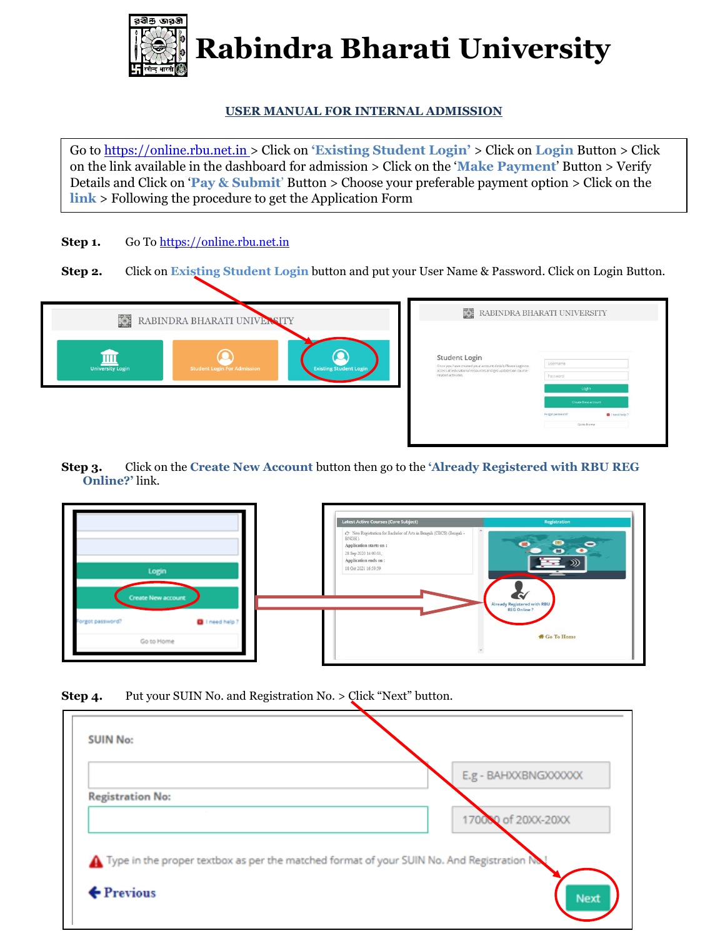

**Rabindra Bharati University Rabindra Bharati University**

## **USER MANUAL FOR INTERNAL ADMISSION**

Go to [https://online.rbu.net.in](https://online.rbu.net.in/) > Click on **'Existing Student Login'** > Click on **Login** Button > Click on the link available in the dashboard for admission > Click on the '**Make Payment**' Button > Verify Details and Click on '**Pay & Submit**' Button > Choose your preferable payment option > Click on the **link** > Following the procedure to get the Application Form

- Step 1. Go To [https://online.rbu.net.in](https://online.rbu.net.in/)
- **Step 2.** Click on **Existing Student Login** button and put your User Name & Password. Click on Login Button.



**Step 3.** Click on the **Create New Account** button then go to the **'Already Registered with RBU REG Online?'** link.



**Step 4.** Put your SUIN No. and Registration No. > Click "Next" button.

| <b>SUIN No:</b>         |                                                                                          |
|-------------------------|------------------------------------------------------------------------------------------|
|                         | E.g - BAHXXBNGXXXXX                                                                      |
| <b>Registration No:</b> |                                                                                          |
|                         | 170080 of 20XX-20XX                                                                      |
|                         | Type in the proper textbox as per the matched format of your SUIN No. And Registration N |
|                         |                                                                                          |
| $\leftarrow$ Previous   | Next                                                                                     |
|                         |                                                                                          |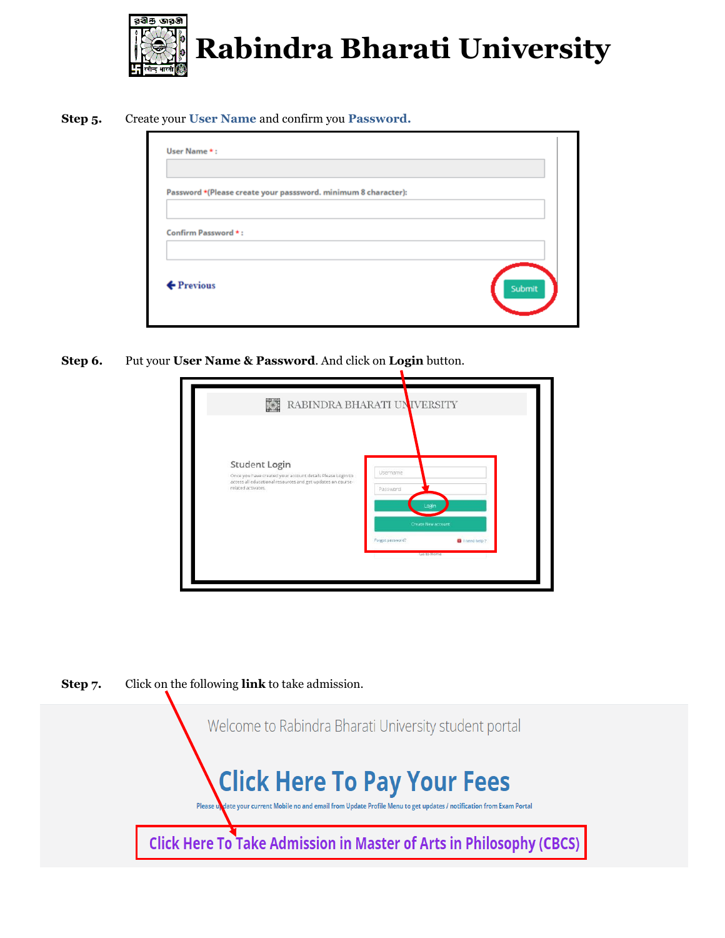

**Step 5.** Create your **User Name** and confirm you **Password.**

| Password *(Please create your passsword. minimum 8 character): |        |  |
|----------------------------------------------------------------|--------|--|
| Confirm Password *:                                            |        |  |
| ← Previous                                                     | Submit |  |

**Step 6.** Put your **User Name & Password**. And click on **Login** button.

|                                                                                                                                                                  | RABINDRA BHARATI UNIVERSITY                                                                              |
|------------------------------------------------------------------------------------------------------------------------------------------------------------------|----------------------------------------------------------------------------------------------------------|
| Student Login<br>Once you have created your account details Please Login to<br>access all educational resources and get updates on course-<br>related activates. | Username<br>Password<br>Login<br>Create New account<br>Forgot password?<br>I I need help ?<br>Go to Home |



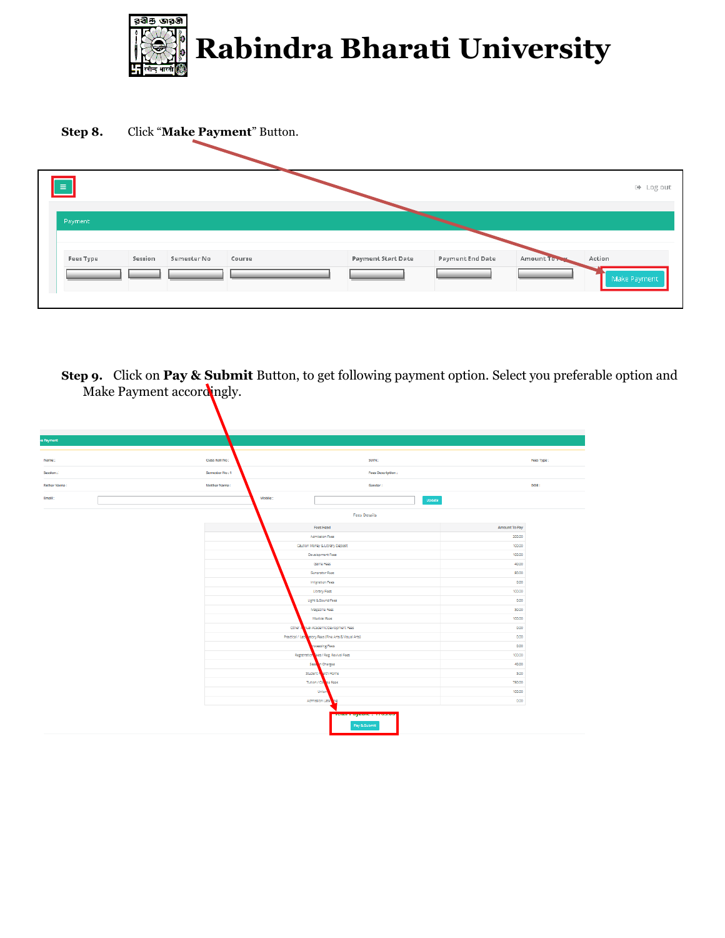



**Step 9.** Click on **Pay & Submit** Button, to get following payment option. Select you preferable option and Make Payment accordingly.

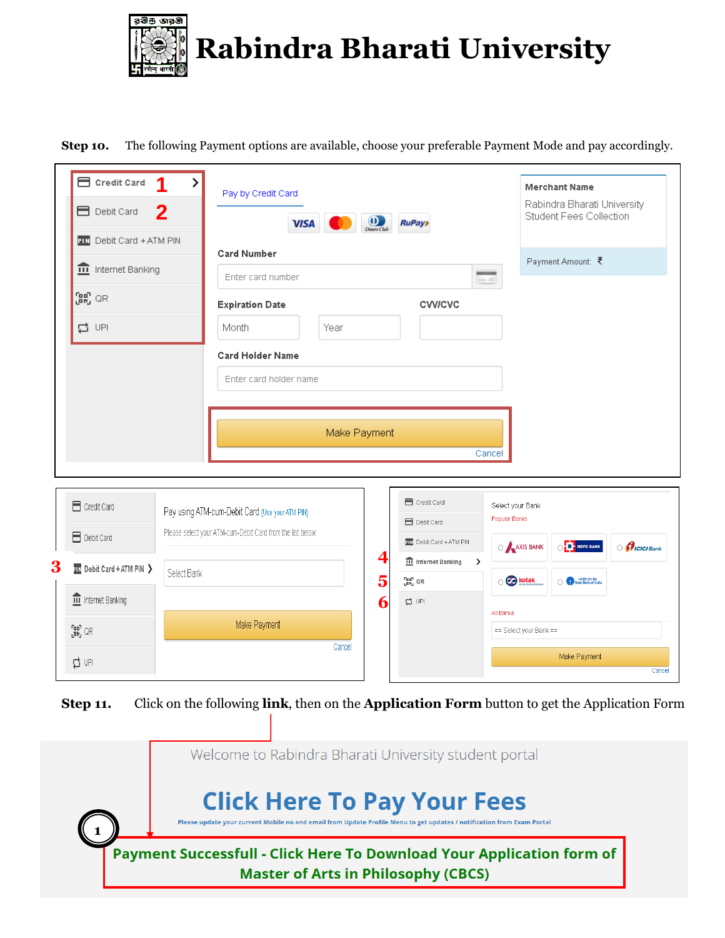

**Step 10.** The following Payment options are available, choose your preferable Payment Mode and pay accordingly.

|   | Credit Card<br><b>E</b> Debit Card                                                                            | ><br><b>Merchant Name</b><br>Pay by Credit Card<br>Rabindra Bharati University<br>$\mathbf 2$<br>Student Fees Collection<br>$\overline{\bigcup_{Dinary\,} C_M}$<br><b>RuPay</b><br><b>VISA</b>                                                                                                                                                                                                                                                                                                                                       |
|---|---------------------------------------------------------------------------------------------------------------|--------------------------------------------------------------------------------------------------------------------------------------------------------------------------------------------------------------------------------------------------------------------------------------------------------------------------------------------------------------------------------------------------------------------------------------------------------------------------------------------------------------------------------------|
|   | PIN Debit Card + ATM PIN<br><b>n</b> Internet Banking<br>$\begin{bmatrix} 2R \\ CR \end{bmatrix}$ QR<br>급 UPI | <b>Card Number</b><br>Payment Amount: ₹<br>Enter card number<br>$_{\rm SN}$ m<br><b>Expiration Date</b><br><b>CVV/CVC</b><br>Month<br>Year<br><b>Card Holder Name</b><br>Enter card holder name<br>Make Payment<br>Cancel                                                                                                                                                                                                                                                                                                            |
| 3 | Credit Card<br>Debit Card<br>$\overline{211}$ Debit Card + ATM PIN $\sum$<br><b>III</b> Internet Banking      | <b>Fi</b> Credit Card<br>Select your Bank<br>Pay using ATM-cum-Debit Card (Use your ATM PIN)<br>Popular Banks<br><b>E</b> Debit Card<br>Please select your ATM-cum-Debit Card from the list below.<br>PIN Debit Card + ATM PIN<br>O <b>T</b> HDFC BANK<br>AXIS BANK<br>$\odot$ $\theta$ ICICI Bank<br>4<br>$\hat{m}$ Internet Banking<br>$\rightarrow$<br>Select Bank<br>5<br><b>Co</b> kotak<br>$\begin{bmatrix} \mathbf{B} \mathbf{B}^{\mathsf{T}} \\ \mathbf{B} \mathbf{B} \end{bmatrix}$ QR<br>State Bank of India<br>6<br>를 UPI |
|   | raan QR<br>L <sup>aa</sup> u QR<br>口 UPI                                                                      | All Banks<br>Make Payment<br>== Select your Bank ==<br>Cancel<br>Make Payment<br>Cancel                                                                                                                                                                                                                                                                                                                                                                                                                                              |

**Step 11.** Click on the following **link**, then on the **Application Form** button to get the Application Form